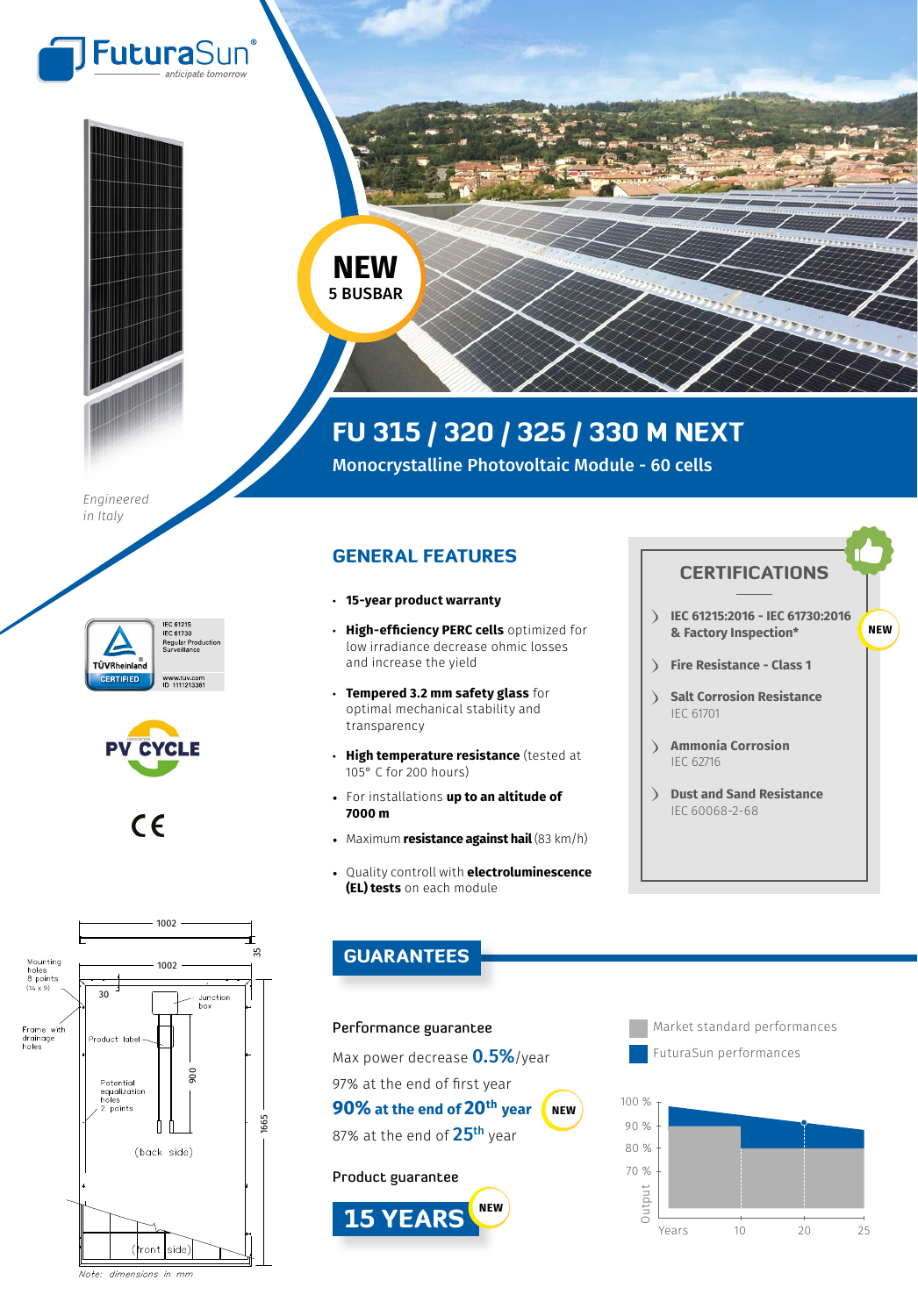



**NEW** 5 BUSBAR

## FU 315 / 320 / 325 / 330 M NEXT

Monocrystalline Photovoltaic Module - 60 cells

*Engineered in Italy*







## GENERAL FEATURES

- **15-year product warranty**
- **High-efficiency PERC cells** optimized for low irradiance decrease ohmic losses and increase the yield
- **Tempered 3.2 mm safety glass** for optimal mechanical stability and transparency
- **High temperature resistance** (tested at 105° C for 200 hours)
- For installations **up to an altitude of 7000 m**
- Maximum **resistance against hail** (83 km/h)
- Quality controll with **electroluminescence (EL) tests** on each module





## GUARANTEES

## Performance guarantee

Max power decrease **0.5%**/year 97% at the end of first year **90% at the end of 20th year** 87% at the end of 25<sup>th</sup> year Product guarantee **NEW**